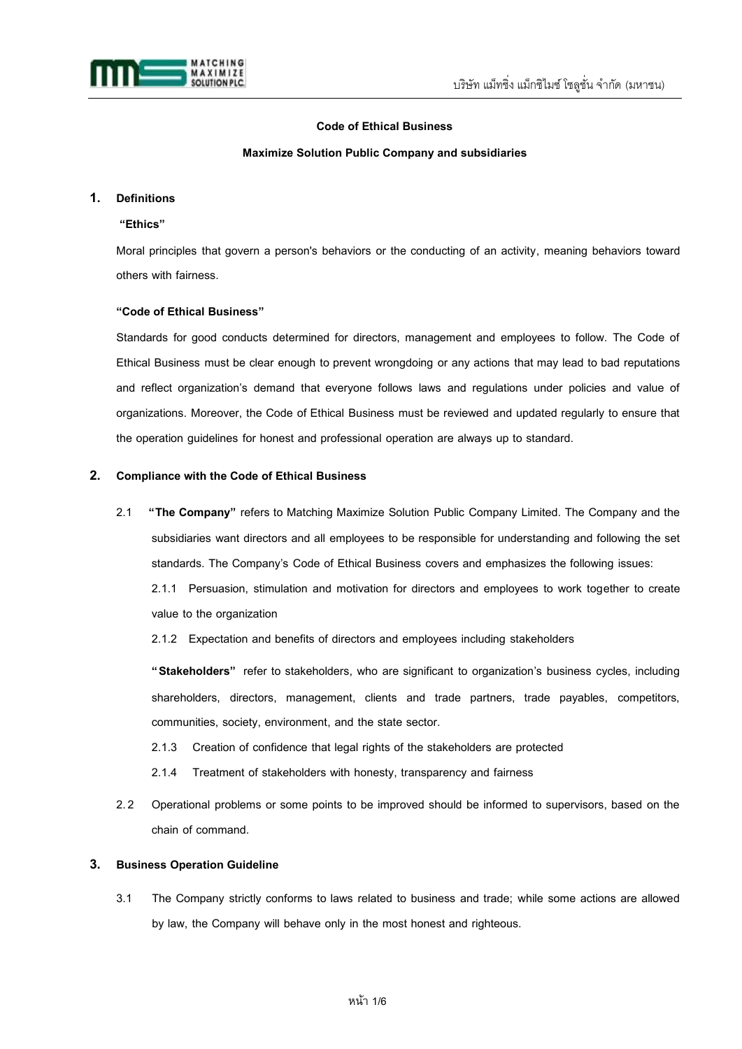

# **Code of Ethical Business**

### **Maximize Solution Public Company and subsidiaries**

# **1. Definitions**

# **"Ethics"**

Moral principles that govern a person's behaviors or the conducting of an activity, meaning behaviors toward others with fairness.

# **"Code of Ethical Business"**

Standards for good conducts determined for directors, management and employees to follow. The Code of Ethical Business must be clear enough to prevent wrongdoing or any actions that may lead to bad reputations and reflect organization's demand that everyone follows laws and regulations under policies and value of organizations. Moreover, the Code of Ethical Business must be reviewed and updated regularly to ensure that the operation guidelines for honest and professional operation are always up to standard.

# **2. Compliance with the Code of Ethical Business**

2.1 **"The Company"** refers to Matching Maximize Solution Public Company Limited. The Company and the subsidiaries want directors and all employees to be responsible for understanding and following the set standards. The Company's Code of Ethical Business covers and emphasizes the following issues: 2.1.1 Persuasion, stimulation and motivation for directors and employees to work together to create

value to the organization

2.1.2 Expectation and benefits of directors and employees including stakeholders

**"Stakeholders"** refer to stakeholders, who are significant to organization's business cycles, including shareholders, directors, management, clients and trade partners, trade payables, competitors, communities, society, environment, and the state sector.

- 2.1.3 Creation of confidence that legal rights of the stakeholders are protected
- 2.1.4 Treatment of stakeholders with honesty, transparency and fairness
- 2.2 Operational problems or some points to be improved should be informed to supervisors, based on the chain of command.

# **3. Business Operation Guideline**

3.1 The Company strictly conforms to laws related to business and trade; while some actions are allowed by law, the Company will behave only in the most honest and righteous.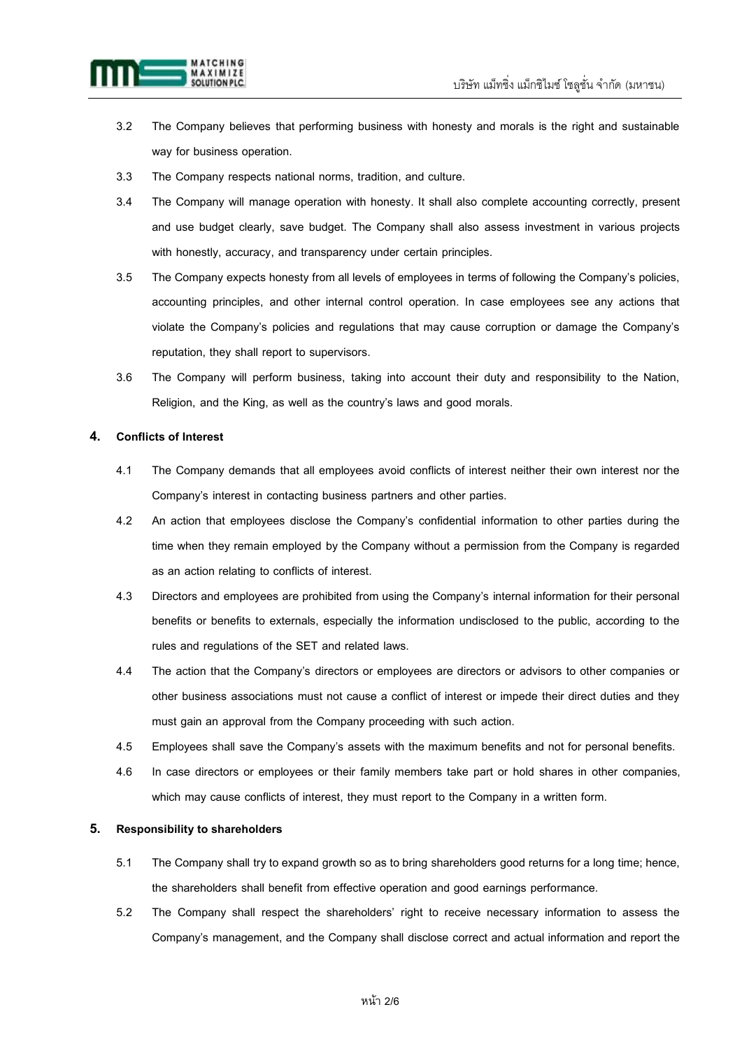

- 3.2 The Company believes that performing business with honesty and morals is the right and sustainable way for business operation.
- 3.3 The Company respects national norms, tradition, and culture.
- 3.4 The Company will manage operation with honesty. It shall also complete accounting correctly, present and use budget clearly, save budget. The Company shall also assess investment in various projects with honestly, accuracy, and transparency under certain principles.
- 3.5 The Company expects honesty from all levels of employees in terms of following the Company's policies, accounting principles, and other internal control operation. In case employees see any actions that violate the Company's policies and regulations that may cause corruption or damage the Company's reputation, they shall report to supervisors.
- 3.6 The Company will perform business, taking into account their duty and responsibility to the Nation, Religion, and the King, as well as the country's laws and good morals.

# **4. Conflicts of Interest**

- 4.1 The Company demands that all employees avoid conflicts of interest neither their own interest nor the Company's interest in contacting business partners and other parties.
- 4.2 An action that employees disclose the Company's confidential information to other parties during the time when they remain employed by the Company without a permission from the Company is regarded as an action relating to conflicts of interest.
- 4.3 Directors and employees are prohibited from using the Company's internal information for their personal benefits or benefits to externals, especially the information undisclosed to the public, according to the rules and regulations of the SET and related laws.
- 4.4 The action that the Company's directors or employees are directors or advisors to other companies or other business associations must not cause a conflict of interest or impede their direct duties and they must gain an approval from the Company proceeding with such action.
- 4.5 Employees shall save the Company's assets with the maximum benefits and not for personal benefits.
- 4.6 In case directors or employees or their family members take part or hold shares in other companies, which may cause conflicts of interest, they must report to the Company in a written form.

# **5. Responsibility to shareholders**

- 5.1 The Company shall try to expand growth so as to bring shareholders good returns for a long time; hence, the shareholders shall benefit from effective operation and good earnings performance.
- 5.2 The Company shall respect the shareholders' right to receive necessary information to assess the Company's management, and the Company shall disclose correct and actual information and report the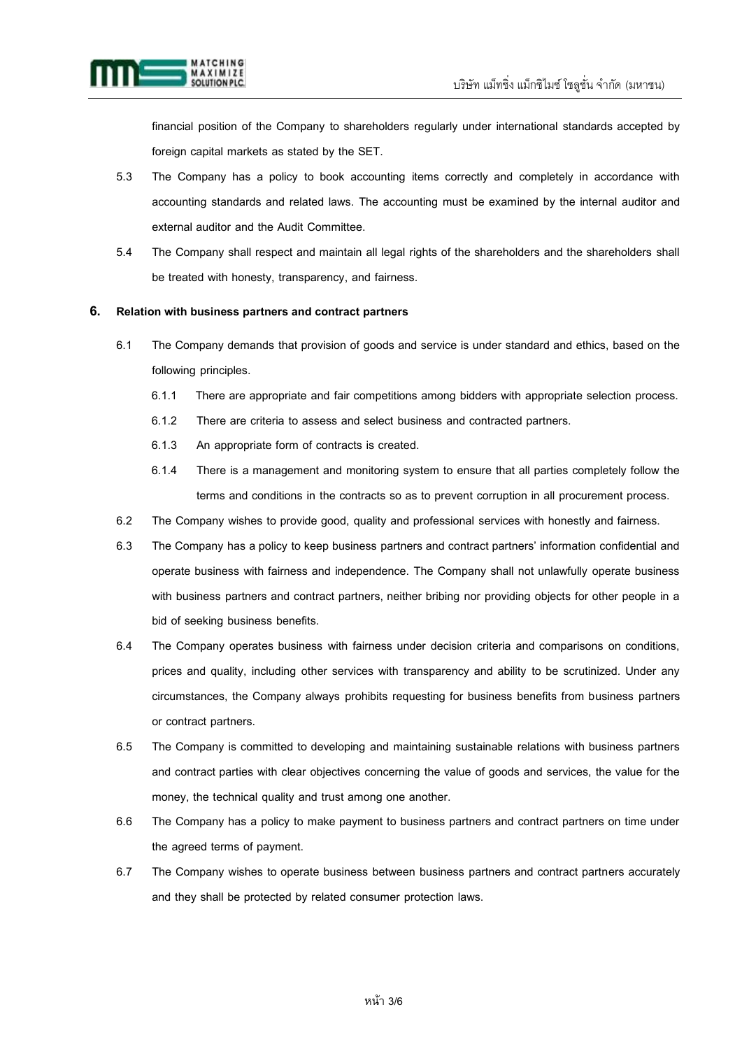

financial position of the Company to shareholders regularly under international standards accepted by foreign capital markets as stated by the SET.

- 5.3 The Company has a policy to book accounting items correctly and completely in accordance with accounting standards and related laws. The accounting must be examined by the internal auditor and external auditor and the Audit Committee.
- 5.4 The Company shall respect and maintain all legal rights of the shareholders and the shareholders shall be treated with honesty, transparency, and fairness.

# **6. Relation with business partners and contract partners**

- 6.1 The Company demands that provision of goods and service is under standard and ethics, based on the following principles.
	- 6.1.1 There are appropriate and fair competitions among bidders with appropriate selection process.
	- 6.1.2 There are criteria to assess and select business and contracted partners.
	- 6.1.3 An appropriate form of contracts is created.
	- 6.1.4 There is a management and monitoring system to ensure that all parties completely follow the terms and conditions in the contracts so as to prevent corruption in all procurement process.
- 6.2 The Company wishes to provide good, quality and professional services with honestly and fairness.
- 6.3 The Company has a policy to keep business partners and contract partners' information confidential and operate business with fairness and independence. The Company shall not unlawfully operate business with business partners and contract partners, neither bribing nor providing objects for other people in a bid of seeking business benefits.
- 6.4 The Company operates business with fairness under decision criteria and comparisons on conditions, prices and quality, including other services with transparency and ability to be scrutinized. Under any circumstances, the Company always prohibits requesting for business benefits from business partners or contract partners.
- 6.5 The Company is committed to developing and maintaining sustainable relations with business partners and contract parties with clear objectives concerning the value of goods and services, the value for the money, the technical quality and trust among one another.
- 6.6 The Company has a policy to make payment to business partners and contract partners on time under the agreed terms of payment.
- 6.7 The Company wishes to operate business between business partners and contract partners accurately and they shall be protected by related consumer protection laws.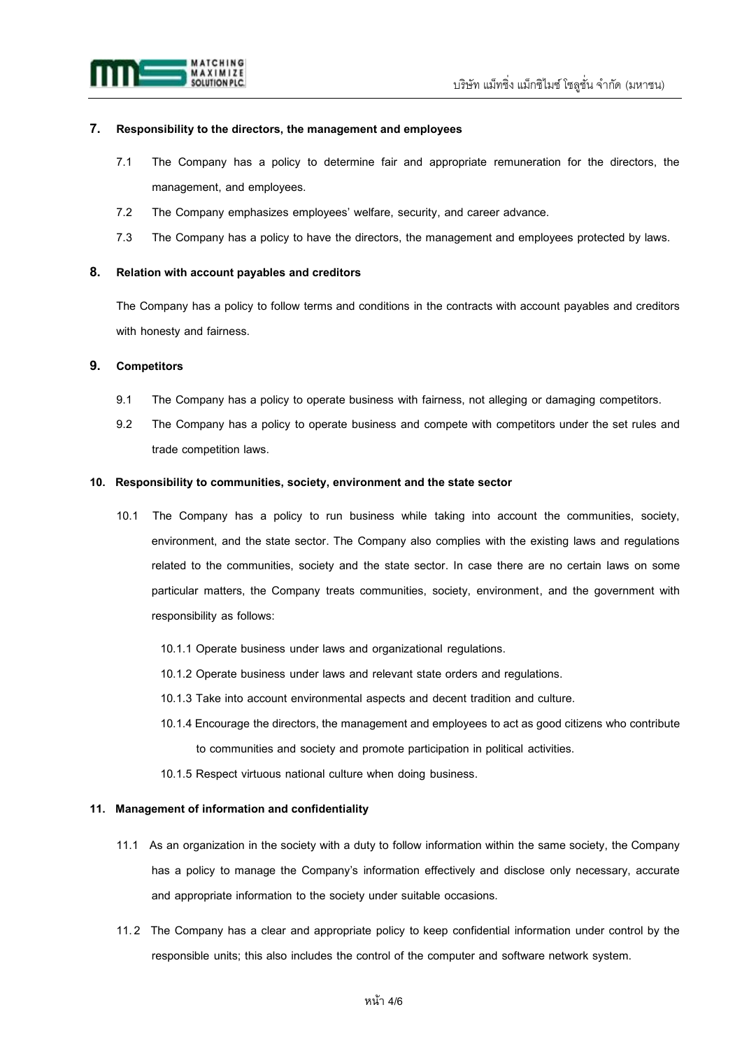

# **7. Responsibility to the directors, the management and employees**

- 7.1 The Company has a policy to determine fair and appropriate remuneration for the directors, the management, and employees.
- 7.2 The Company emphasizes employees' welfare, security, and career advance.
- 7.3 The Company has a policy to have the directors, the management and employees protected by laws.

### **8. Relation with account payables and creditors**

The Company has a policy to follow terms and conditions in the contracts with account payables and creditors with honesty and fairness.

### **9. Competitors**

- 9.1 The Company has a policy to operate business with fairness, not alleging or damaging competitors.
- 9.2 The Company has a policy to operate business and compete with competitors under the set rules and trade competition laws.

### **10. Responsibility to communities, society, environment and the state sector**

- 10.1 The Company has a policy to run business while taking into account the communities, society, environment, and the state sector. The Company also complies with the existing laws and regulations related to the communities, society and the state sector. In case there are no certain laws on some particular matters, the Company treats communities, society, environment, and the government with responsibility as follows:
	- 10.1.1 Operate business under laws and organizational regulations.
	- 10.1.2 Operate business under laws and relevant state orders and regulations.
	- 10.1.3 Take into account environmental aspects and decent tradition and culture.
	- 10.1.4 Encourage the directors, the management and employees to act as good citizens who contribute to communities and society and promote participation in political activities.
	- 10.1.5 Respect virtuous national culture when doing business.

### **11. Management of information and confidentiality**

- 11.1 As an organization in the society with a duty to follow information within the same society, the Company has a policy to manage the Company's information effectively and disclose only necessary, accurate and appropriate information to the society under suitable occasions.
- 11.2 The Company has a clear and appropriate policy to keep confidential information under control by the responsible units; this also includes the control of the computer and software network system.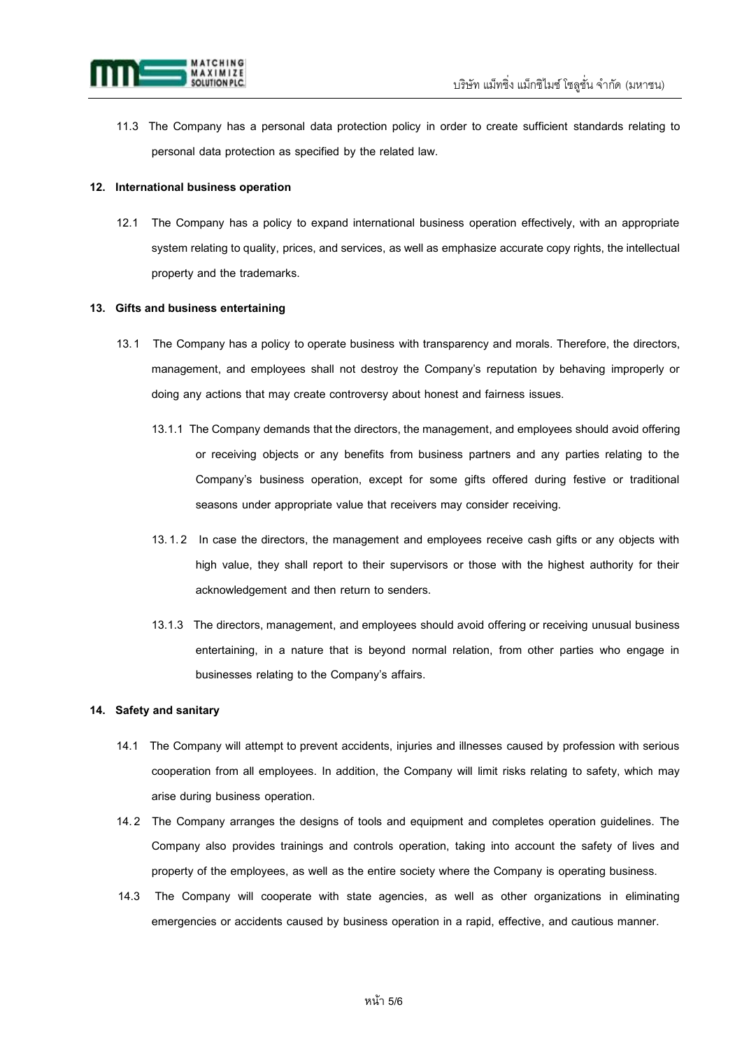

11.3 The Company has a personal data protection policy in order to create sufficient standards relating to personal data protection as specified by the related law.

### **12. International business operation**

12.1 The Company has a policy to expand international business operation effectively, with an appropriate system relating to quality, prices, and services, as well as emphasize accurate copy rights, the intellectual property and the trademarks.

# **13. Gifts and business entertaining**

- 13.1 The Company has a policy to operate business with transparency and morals. Therefore, the directors, management, and employees shall not destroy the Company's reputation by behaving improperly or doing any actions that may create controversy about honest and fairness issues.
	- 13.1.1 The Company demands that the directors, the management, and employees should avoid offering or receiving objects or any benefits from business partners and any parties relating to the Company's business operation, except for some gifts offered during festive or traditional seasons under appropriate value that receivers may consider receiving.
	- 13.1.2 In case the directors, the management and employees receive cash gifts or any objects with high value, they shall report to their supervisors or those with the highest authority for their acknowledgement and then return to senders.
	- 13.1.3 The directors, management, and employees should avoid offering or receiving unusual business entertaining, in a nature that is beyond normal relation, from other parties who engage in businesses relating to the Company's affairs.

#### **14. Safety and sanitary**

- 14.1 The Company will attempt to prevent accidents, injuries and illnesses caused by profession with serious cooperation from all employees. In addition, the Company will limit risks relating to safety, which may arise during business operation.
- 14.2 The Company arranges the designs of tools and equipment and completes operation guidelines. The Company also provides trainings and controls operation, taking into account the safety of lives and property of the employees, as well as the entire society where the Company is operating business.
- 14.3 The Company will cooperate with state agencies, as well as other organizations in eliminating emergencies or accidents caused by business operation in a rapid, effective, and cautious manner.